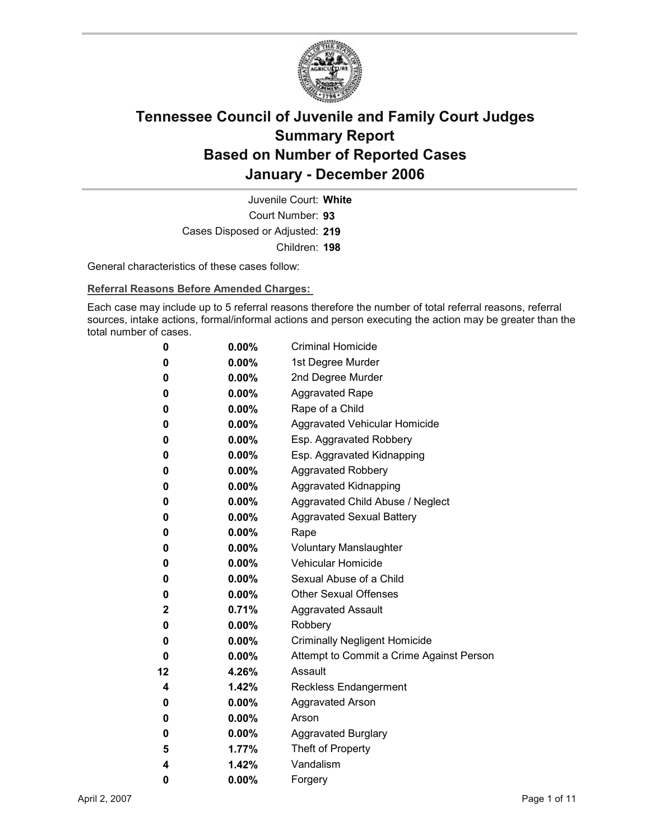

Court Number: **93** Juvenile Court: **White** Cases Disposed or Adjusted: **219** Children: **198**

General characteristics of these cases follow:

**Referral Reasons Before Amended Charges:** 

Each case may include up to 5 referral reasons therefore the number of total referral reasons, referral sources, intake actions, formal/informal actions and person executing the action may be greater than the total number of cases.

| 0  | $0.00\%$ | <b>Criminal Homicide</b>                 |
|----|----------|------------------------------------------|
| 0  | $0.00\%$ | 1st Degree Murder                        |
| 0  | $0.00\%$ | 2nd Degree Murder                        |
| 0  | $0.00\%$ | <b>Aggravated Rape</b>                   |
| 0  | $0.00\%$ | Rape of a Child                          |
| 0  | $0.00\%$ | Aggravated Vehicular Homicide            |
| 0  | $0.00\%$ | Esp. Aggravated Robbery                  |
| 0  | $0.00\%$ | Esp. Aggravated Kidnapping               |
| 0  | $0.00\%$ | Aggravated Robbery                       |
| 0  | $0.00\%$ | <b>Aggravated Kidnapping</b>             |
| 0  | $0.00\%$ | Aggravated Child Abuse / Neglect         |
| 0  | $0.00\%$ | <b>Aggravated Sexual Battery</b>         |
| 0  | $0.00\%$ | Rape                                     |
| 0  | $0.00\%$ | <b>Voluntary Manslaughter</b>            |
| 0  | $0.00\%$ | <b>Vehicular Homicide</b>                |
| 0  | $0.00\%$ | Sexual Abuse of a Child                  |
| 0  | $0.00\%$ | <b>Other Sexual Offenses</b>             |
| 2  | 0.71%    | <b>Aggravated Assault</b>                |
| 0  | $0.00\%$ | Robbery                                  |
| 0  | $0.00\%$ | <b>Criminally Negligent Homicide</b>     |
| 0  | $0.00\%$ | Attempt to Commit a Crime Against Person |
| 12 | 4.26%    | Assault                                  |
| 4  | 1.42%    | Reckless Endangerment                    |
| 0  | $0.00\%$ | <b>Aggravated Arson</b>                  |
| 0  | $0.00\%$ | Arson                                    |
| 0  | $0.00\%$ | <b>Aggravated Burglary</b>               |
| 5  | 1.77%    | Theft of Property                        |
| 4  | 1.42%    | Vandalism                                |
| 0  | 0.00%    | Forgery                                  |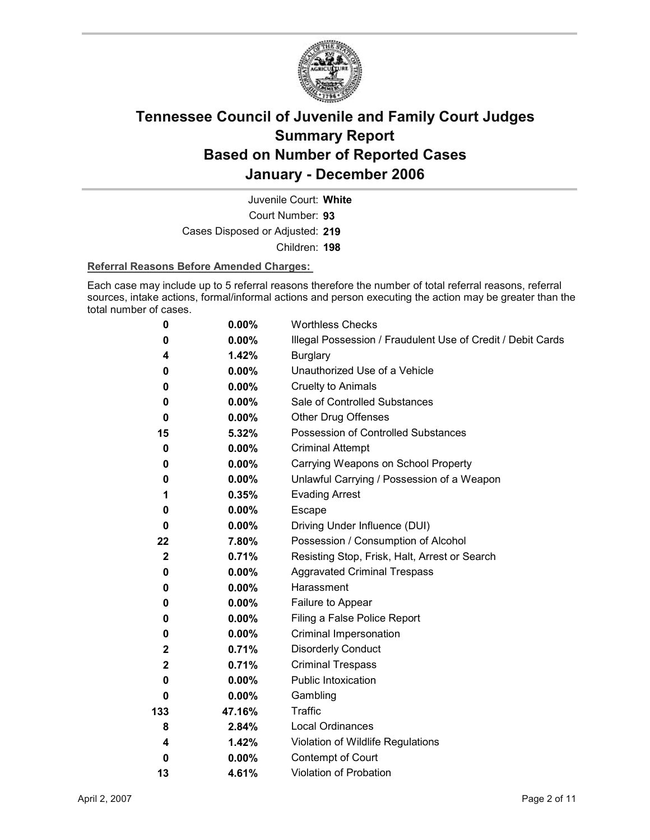

Court Number: **93** Juvenile Court: **White** Cases Disposed or Adjusted: **219** Children: **198**

#### **Referral Reasons Before Amended Charges:**

Each case may include up to 5 referral reasons therefore the number of total referral reasons, referral sources, intake actions, formal/informal actions and person executing the action may be greater than the total number of cases.

| 0                | 0.00%    | <b>Worthless Checks</b>                                     |
|------------------|----------|-------------------------------------------------------------|
| 0                | $0.00\%$ | Illegal Possession / Fraudulent Use of Credit / Debit Cards |
| 4                | 1.42%    | <b>Burglary</b>                                             |
| 0                | $0.00\%$ | Unauthorized Use of a Vehicle                               |
| 0                | $0.00\%$ | <b>Cruelty to Animals</b>                                   |
| 0                | $0.00\%$ | Sale of Controlled Substances                               |
| 0                | $0.00\%$ | <b>Other Drug Offenses</b>                                  |
| 15               | 5.32%    | Possession of Controlled Substances                         |
| 0                | 0.00%    | <b>Criminal Attempt</b>                                     |
| 0                | $0.00\%$ | Carrying Weapons on School Property                         |
| 0                | 0.00%    | Unlawful Carrying / Possession of a Weapon                  |
| 1                | 0.35%    | <b>Evading Arrest</b>                                       |
| 0                | 0.00%    | Escape                                                      |
| 0                | $0.00\%$ | Driving Under Influence (DUI)                               |
| 22               | 7.80%    | Possession / Consumption of Alcohol                         |
| $\boldsymbol{2}$ | 0.71%    | Resisting Stop, Frisk, Halt, Arrest or Search               |
| 0                | $0.00\%$ | <b>Aggravated Criminal Trespass</b>                         |
| 0                | $0.00\%$ | Harassment                                                  |
| 0                | $0.00\%$ | Failure to Appear                                           |
| 0                | $0.00\%$ | Filing a False Police Report                                |
| 0                | $0.00\%$ | Criminal Impersonation                                      |
| $\mathbf{2}$     | 0.71%    | <b>Disorderly Conduct</b>                                   |
| $\mathbf{2}$     | 0.71%    | <b>Criminal Trespass</b>                                    |
| 0                | $0.00\%$ | Public Intoxication                                         |
| 0                | $0.00\%$ | Gambling                                                    |
| 133              | 47.16%   | <b>Traffic</b>                                              |
| 8                | 2.84%    | <b>Local Ordinances</b>                                     |
| 4                | 1.42%    | Violation of Wildlife Regulations                           |
| $\bf{0}$         | $0.00\%$ | Contempt of Court                                           |
| 13               | 4.61%    | Violation of Probation                                      |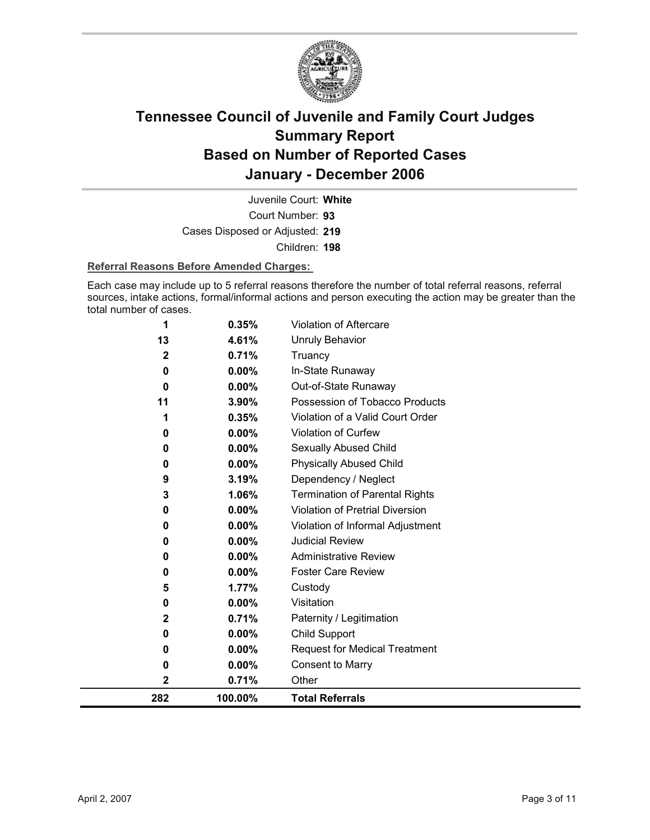

Court Number: **93** Juvenile Court: **White** Cases Disposed or Adjusted: **219** Children: **198**

#### **Referral Reasons Before Amended Charges:**

Each case may include up to 5 referral reasons therefore the number of total referral reasons, referral sources, intake actions, formal/informal actions and person executing the action may be greater than the total number of cases.

| 282          | 100.00%           | <b>Total Referrals</b>                |
|--------------|-------------------|---------------------------------------|
| 2            | 0.71%             | Other                                 |
| 0            | 0.00%             | <b>Consent to Marry</b>               |
| 0            | $0.00\%$          | <b>Request for Medical Treatment</b>  |
| 0            | 0.00%             | <b>Child Support</b>                  |
| $\mathbf{2}$ | 0.71%             | Paternity / Legitimation              |
| 0            | 0.00%             | Visitation                            |
| 5            | 1.77%             | Custody                               |
| 0            | $0.00\%$          | <b>Foster Care Review</b>             |
| 0            | 0.00%             | <b>Administrative Review</b>          |
| 0            | 0.00%             | <b>Judicial Review</b>                |
| 0            | 0.00%             | Violation of Informal Adjustment      |
| 0            | 0.00%             | Violation of Pretrial Diversion       |
| 3            | 1.06%             | <b>Termination of Parental Rights</b> |
| 9            | 3.19%             | Dependency / Neglect                  |
| 0            | 0.00%             | <b>Physically Abused Child</b>        |
| 0            | 0.00%             | <b>Sexually Abused Child</b>          |
| 0            | 0.00%             | Violation of Curfew                   |
| 1            | 0.35%             | Violation of a Valid Court Order      |
| 11           | 3.90%             | Possession of Tobacco Products        |
| 0            | $0.00\%$          | Out-of-State Runaway                  |
| 2<br>0       | 0.71%<br>$0.00\%$ | Truancy<br>In-State Runaway           |
| 13           | 4.61%             | <b>Unruly Behavior</b>                |
|              |                   |                                       |
| 1            | 0.35%             | Violation of Aftercare                |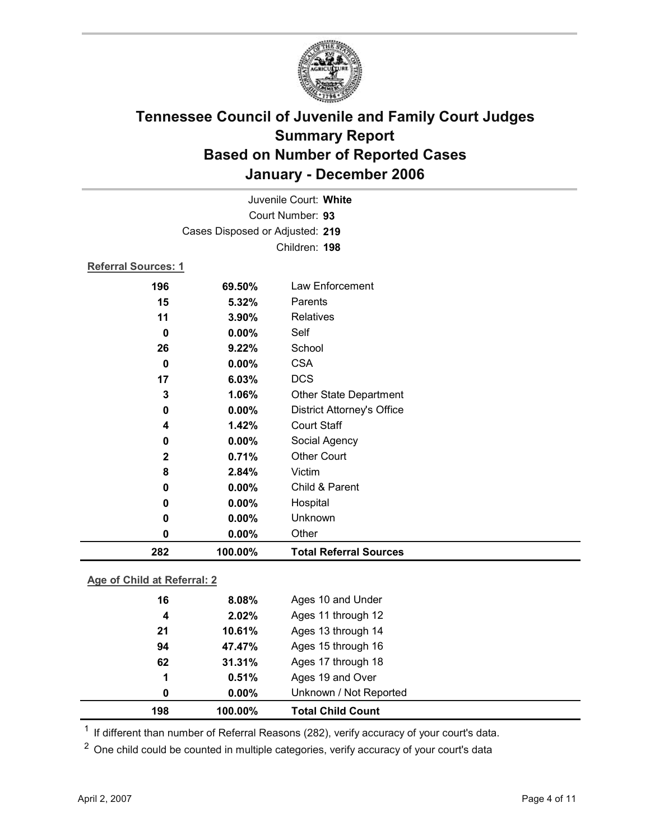

|              |          | <b>Relatives</b>                  |  |
|--------------|----------|-----------------------------------|--|
| $\mathbf 0$  | 0.00%    | Self                              |  |
| 26           | 9.22%    | School                            |  |
| $\bf{0}$     | $0.00\%$ | <b>CSA</b>                        |  |
| 17           | 6.03%    | <b>DCS</b>                        |  |
| 3            | 1.06%    | <b>Other State Department</b>     |  |
| 0            | 0.00%    | <b>District Attorney's Office</b> |  |
| 4            | 1.42%    | <b>Court Staff</b>                |  |
| 0            | 0.00%    | Social Agency                     |  |
| $\mathbf{2}$ | 0.71%    | <b>Other Court</b>                |  |
| 8            | 2.84%    | Victim                            |  |
| $\mathbf 0$  | 0.00%    | Child & Parent                    |  |
| 0            | 0.00%    | Hospital                          |  |
| 0            | 0.00%    | Unknown                           |  |
| 0            | 0.00%    | Other                             |  |
| 282          | 100.00%  | <b>Total Referral Sources</b>     |  |

### **Age of Child at Referral: 2**

| 198 | 100.00%  | <b>Total Child Count</b> |  |
|-----|----------|--------------------------|--|
| 0   | $0.00\%$ | Unknown / Not Reported   |  |
| 1   | 0.51%    | Ages 19 and Over         |  |
| 62  | 31.31%   | Ages 17 through 18       |  |
| 94  | 47.47%   | Ages 15 through 16       |  |
| 21  | 10.61%   | Ages 13 through 14       |  |
| 4   | 2.02%    | Ages 11 through 12       |  |
| 16  | 8.08%    | Ages 10 and Under        |  |
|     |          |                          |  |

<sup>1</sup> If different than number of Referral Reasons (282), verify accuracy of your court's data.

<sup>2</sup> One child could be counted in multiple categories, verify accuracy of your court's data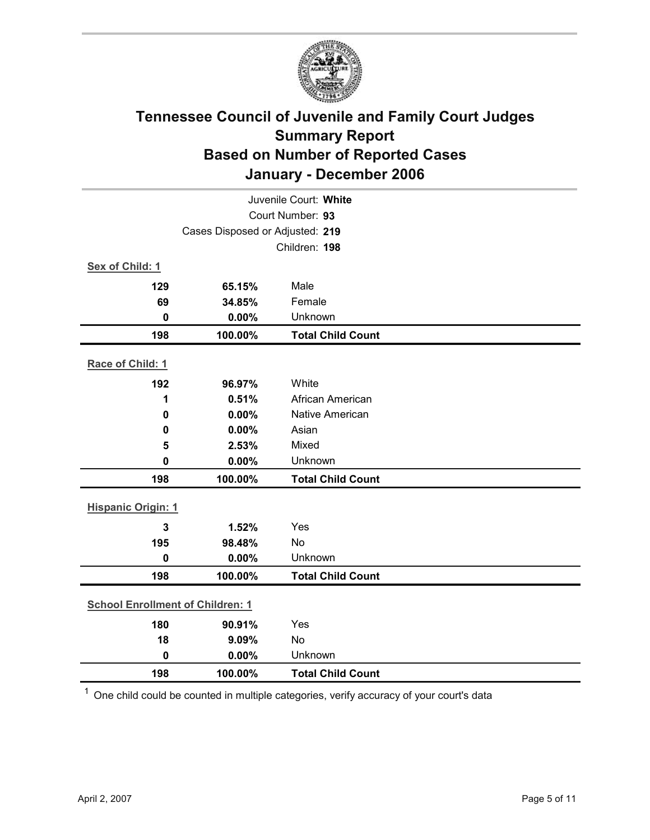

|                                         | Juvenile Court: White |                          |  |  |  |
|-----------------------------------------|-----------------------|--------------------------|--|--|--|
| Court Number: 93                        |                       |                          |  |  |  |
| Cases Disposed or Adjusted: 219         |                       |                          |  |  |  |
|                                         |                       | Children: 198            |  |  |  |
| Sex of Child: 1                         |                       |                          |  |  |  |
| 129                                     | 65.15%                | Male                     |  |  |  |
| 69                                      | 34.85%                | Female                   |  |  |  |
| $\mathbf 0$                             | 0.00%                 | Unknown                  |  |  |  |
| 198                                     | 100.00%               | <b>Total Child Count</b> |  |  |  |
| Race of Child: 1                        |                       |                          |  |  |  |
| 192                                     | 96.97%                | White                    |  |  |  |
| 1                                       | 0.51%                 | African American         |  |  |  |
| $\mathbf 0$                             | 0.00%                 | <b>Native American</b>   |  |  |  |
| 0                                       | 0.00%                 | Asian                    |  |  |  |
| 5                                       | 2.53%                 | Mixed                    |  |  |  |
| 0                                       | 0.00%                 | Unknown                  |  |  |  |
| 198                                     | 100.00%               | <b>Total Child Count</b> |  |  |  |
| <b>Hispanic Origin: 1</b>               |                       |                          |  |  |  |
| $\mathbf{3}$                            | 1.52%                 | Yes                      |  |  |  |
| 195                                     | 98.48%                | <b>No</b>                |  |  |  |
| $\mathbf 0$                             | 0.00%                 | Unknown                  |  |  |  |
| 198                                     | 100.00%               | <b>Total Child Count</b> |  |  |  |
|                                         |                       |                          |  |  |  |
| <b>School Enrollment of Children: 1</b> |                       |                          |  |  |  |
| 180                                     | 90.91%                | Yes                      |  |  |  |
| 18                                      | 9.09%                 | No                       |  |  |  |
| $\mathbf 0$                             | 0.00%                 | Unknown                  |  |  |  |
| 198                                     | 100.00%               | <b>Total Child Count</b> |  |  |  |

 $1$  One child could be counted in multiple categories, verify accuracy of your court's data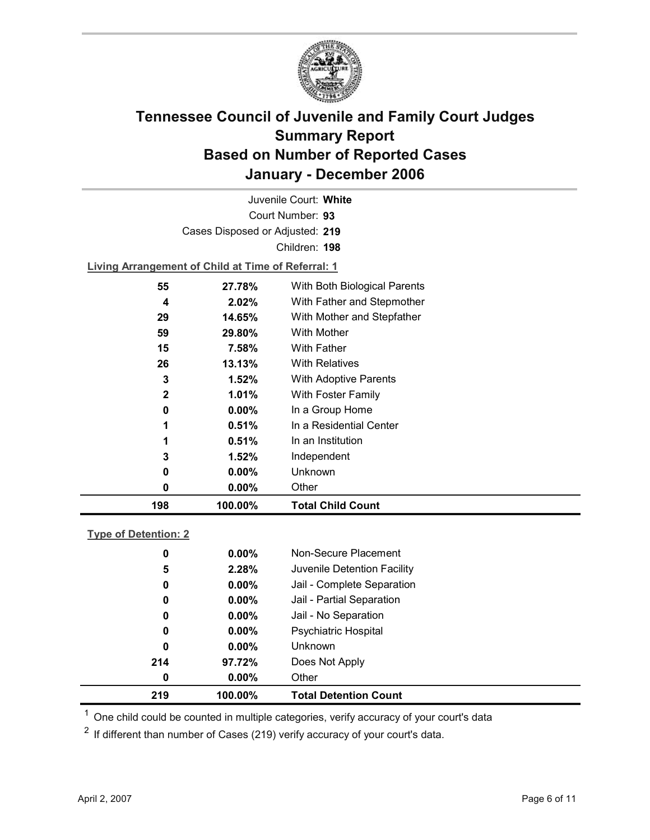

Court Number: **93** Juvenile Court: **White** Cases Disposed or Adjusted: **219** Children: **198 Living Arrangement of Child at Time of Referral: 1**

| 198 | 100.00%  | <b>Total Child Count</b>     |
|-----|----------|------------------------------|
| 0   | $0.00\%$ | Other                        |
| 0   | $0.00\%$ | Unknown                      |
| 3   | 1.52%    | Independent                  |
| 1   | 0.51%    | In an Institution            |
| 1   | 0.51%    | In a Residential Center      |
| 0   | $0.00\%$ | In a Group Home              |
| 2   | $1.01\%$ | With Foster Family           |
| 3   | 1.52%    | With Adoptive Parents        |
| 26  | 13.13%   | <b>With Relatives</b>        |
| 15  | 7.58%    | With Father                  |
| 59  | 29.80%   | With Mother                  |
| 29  | 14.65%   | With Mother and Stepfather   |
| 4   | 2.02%    | With Father and Stepmother   |
| 55  | 27.78%   | With Both Biological Parents |
|     |          |                              |

### **Type of Detention: 2**

| 219 | 100.00%  | <b>Total Detention Count</b> |
|-----|----------|------------------------------|
| 0   | $0.00\%$ | Other                        |
| 214 | 97.72%   | Does Not Apply               |
| 0   | $0.00\%$ | <b>Unknown</b>               |
| 0   | $0.00\%$ | <b>Psychiatric Hospital</b>  |
| 0   | $0.00\%$ | Jail - No Separation         |
| 0   | $0.00\%$ | Jail - Partial Separation    |
| 0   | $0.00\%$ | Jail - Complete Separation   |
| 5   | 2.28%    | Juvenile Detention Facility  |
| 0   | $0.00\%$ | Non-Secure Placement         |
|     |          |                              |

 $<sup>1</sup>$  One child could be counted in multiple categories, verify accuracy of your court's data</sup>

 $2$  If different than number of Cases (219) verify accuracy of your court's data.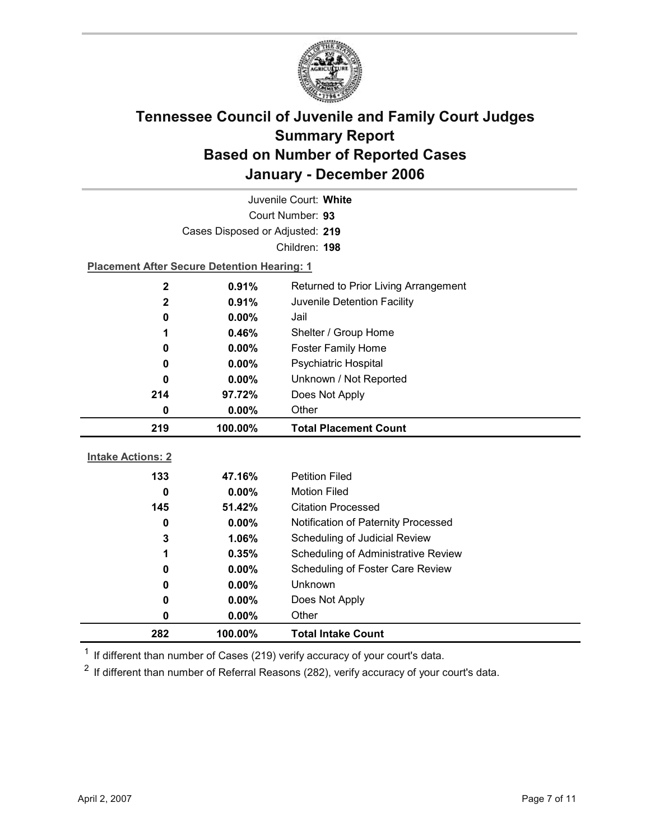

| Juvenile Court: White    |                                                    |                                      |  |  |  |
|--------------------------|----------------------------------------------------|--------------------------------------|--|--|--|
|                          | Court Number: 93                                   |                                      |  |  |  |
|                          | Cases Disposed or Adjusted: 219                    |                                      |  |  |  |
|                          |                                                    | Children: 198                        |  |  |  |
|                          | <b>Placement After Secure Detention Hearing: 1</b> |                                      |  |  |  |
| $\mathbf 2$              | 0.91%                                              | Returned to Prior Living Arrangement |  |  |  |
| $\mathbf 2$              | 0.91%                                              | Juvenile Detention Facility          |  |  |  |
| 0                        | $0.00\%$                                           | Jail                                 |  |  |  |
| 1                        | 0.46%                                              | Shelter / Group Home                 |  |  |  |
| 0                        | 0.00%                                              | <b>Foster Family Home</b>            |  |  |  |
| 0                        | 0.00%                                              | <b>Psychiatric Hospital</b>          |  |  |  |
| 0                        | 0.00%                                              | Unknown / Not Reported               |  |  |  |
| 214                      | 97.72%                                             | Does Not Apply                       |  |  |  |
| 0                        | $0.00\%$                                           | Other                                |  |  |  |
|                          |                                                    |                                      |  |  |  |
| 219                      | 100.00%                                            | <b>Total Placement Count</b>         |  |  |  |
|                          |                                                    |                                      |  |  |  |
| <b>Intake Actions: 2</b> |                                                    |                                      |  |  |  |
| 133                      | 47.16%                                             | <b>Petition Filed</b>                |  |  |  |
| 0                        | 0.00%                                              | <b>Motion Filed</b>                  |  |  |  |
| 145                      | 51.42%                                             | <b>Citation Processed</b>            |  |  |  |
| 0                        | $0.00\%$                                           | Notification of Paternity Processed  |  |  |  |
| 3                        | 1.06%                                              | Scheduling of Judicial Review        |  |  |  |
| 1                        | 0.35%                                              | Scheduling of Administrative Review  |  |  |  |
| 0                        | 0.00%                                              | Scheduling of Foster Care Review     |  |  |  |
| 0                        | 0.00%                                              | <b>Unknown</b>                       |  |  |  |
| 0                        | 0.00%                                              | Does Not Apply                       |  |  |  |
| 0                        | 0.00%                                              | Other                                |  |  |  |

 $1$  If different than number of Cases (219) verify accuracy of your court's data.

 $2$  If different than number of Referral Reasons (282), verify accuracy of your court's data.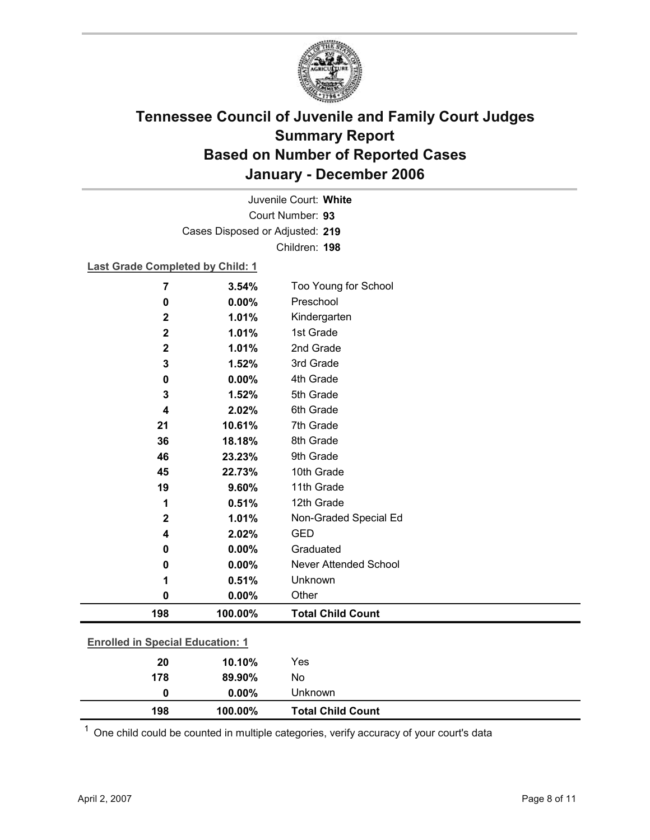

Court Number: **93** Juvenile Court: **White** Cases Disposed or Adjusted: **219** Children: **198**

#### **Last Grade Completed by Child: 1**

| 7                                       | 3.54%   | Too Young for School     |
|-----------------------------------------|---------|--------------------------|
| 0                                       | 0.00%   | Preschool                |
| $\mathbf 2$                             | 1.01%   | Kindergarten             |
| $\overline{\mathbf{2}}$                 | 1.01%   | 1st Grade                |
| $\mathbf 2$                             | 1.01%   | 2nd Grade                |
| 3                                       | 1.52%   | 3rd Grade                |
| 0                                       | 0.00%   | 4th Grade                |
| 3                                       | 1.52%   | 5th Grade                |
| 4                                       | 2.02%   | 6th Grade                |
| 21                                      | 10.61%  | 7th Grade                |
| 36                                      | 18.18%  | 8th Grade                |
| 46                                      | 23.23%  | 9th Grade                |
| 45                                      | 22.73%  | 10th Grade               |
| 19                                      | 9.60%   | 11th Grade               |
| 1                                       | 0.51%   | 12th Grade               |
| $\mathbf 2$                             | 1.01%   | Non-Graded Special Ed    |
| 4                                       | 2.02%   | <b>GED</b>               |
| 0                                       | 0.00%   | Graduated                |
| 0                                       | 0.00%   | Never Attended School    |
| 1                                       | 0.51%   | Unknown                  |
| 0                                       | 0.00%   | Other                    |
| 198                                     | 100.00% | <b>Total Child Count</b> |
| <b>Enrolled in Special Education: 1</b> |         |                          |
| 20                                      | 10.10%  | Yes                      |
| 178                                     | 89.90%  | No                       |

|                          | 198 | 100.00% | <b>Total Child Count</b> |
|--------------------------|-----|---------|--------------------------|
| $\overline{\phantom{a}}$ |     |         |                          |

 $1$  One child could be counted in multiple categories, verify accuracy of your court's data

**0 0.00%** Unknown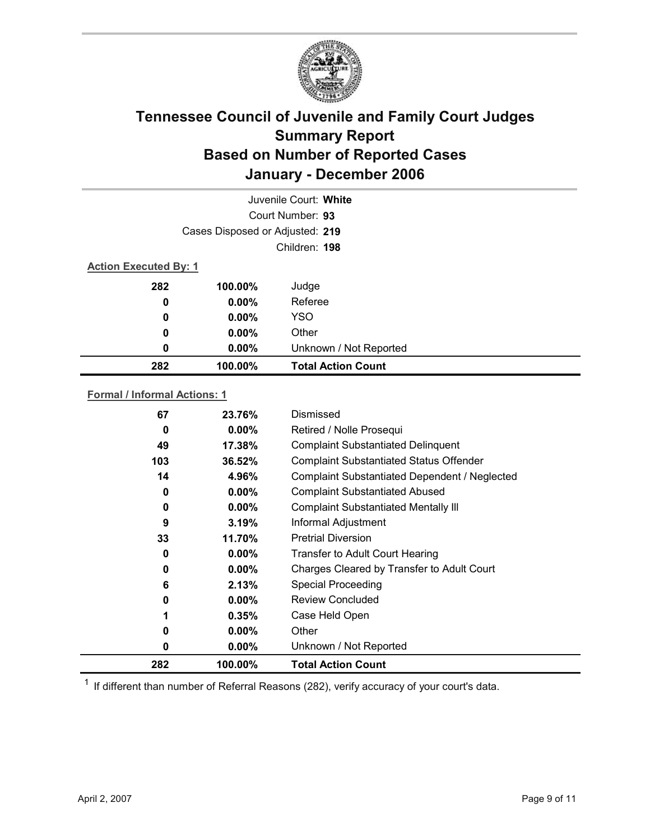

|                                 | Juvenile Court: White |                           |  |  |
|---------------------------------|-----------------------|---------------------------|--|--|
| Court Number: 93                |                       |                           |  |  |
| Cases Disposed or Adjusted: 219 |                       |                           |  |  |
|                                 | Children: 198         |                           |  |  |
| <b>Action Executed By: 1</b>    |                       |                           |  |  |
| 282                             | 100.00%               | Judge                     |  |  |
| 0                               | $0.00\%$              | Referee                   |  |  |
| 0                               | $0.00\%$              | <b>YSO</b>                |  |  |
| 0                               | $0.00\%$              | Other                     |  |  |
| 0                               | $0.00\%$              | Unknown / Not Reported    |  |  |
| 282                             | 100.00%               | <b>Total Action Count</b> |  |  |

### **Formal / Informal Actions: 1**

| 67  | 23.76%   | Dismissed                                      |
|-----|----------|------------------------------------------------|
| 0   | $0.00\%$ | Retired / Nolle Prosequi                       |
| 49  | 17.38%   | <b>Complaint Substantiated Delinquent</b>      |
| 103 | 36.52%   | <b>Complaint Substantiated Status Offender</b> |
| 14  | 4.96%    | Complaint Substantiated Dependent / Neglected  |
| 0   | $0.00\%$ | <b>Complaint Substantiated Abused</b>          |
| 0   | $0.00\%$ | <b>Complaint Substantiated Mentally III</b>    |
| 9   | 3.19%    | Informal Adjustment                            |
| 33  | 11.70%   | <b>Pretrial Diversion</b>                      |
| 0   | $0.00\%$ | <b>Transfer to Adult Court Hearing</b>         |
| 0   | $0.00\%$ | Charges Cleared by Transfer to Adult Court     |
| 6   | 2.13%    | <b>Special Proceeding</b>                      |
| 0   | $0.00\%$ | <b>Review Concluded</b>                        |
|     | 0.35%    | Case Held Open                                 |
| 0   | $0.00\%$ | Other                                          |
| 0   | $0.00\%$ | Unknown / Not Reported                         |
| 282 | 100.00%  | <b>Total Action Count</b>                      |

 $1$  If different than number of Referral Reasons (282), verify accuracy of your court's data.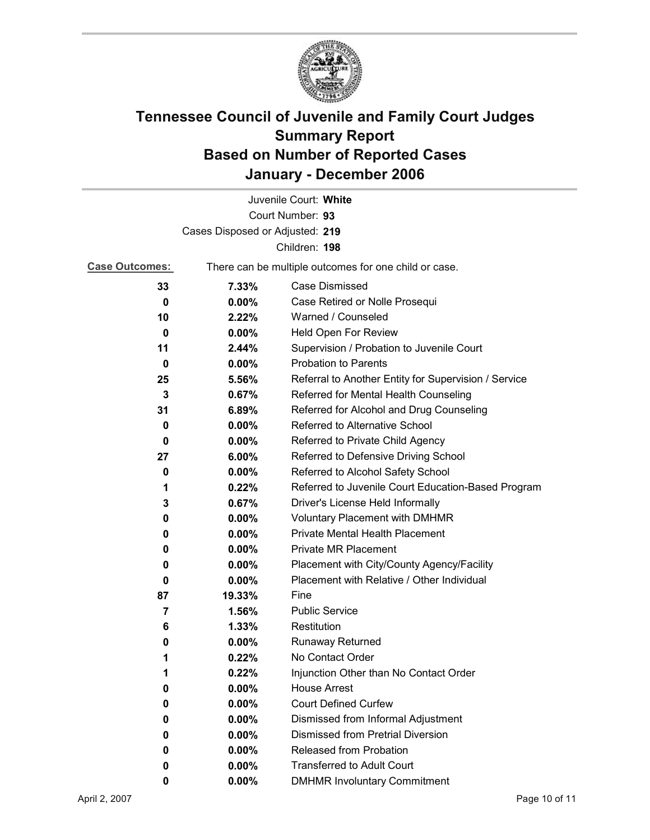

| Juvenile Court: White           |          |                                                       |  |  |
|---------------------------------|----------|-------------------------------------------------------|--|--|
|                                 |          | Court Number: 93                                      |  |  |
| Cases Disposed or Adjusted: 219 |          |                                                       |  |  |
|                                 |          | Children: 198                                         |  |  |
| <b>Case Outcomes:</b>           |          | There can be multiple outcomes for one child or case. |  |  |
| 33                              | 7.33%    | Case Dismissed                                        |  |  |
| 0                               | $0.00\%$ | Case Retired or Nolle Prosequi                        |  |  |
| 10                              | 2.22%    | Warned / Counseled                                    |  |  |
| 0                               | $0.00\%$ | Held Open For Review                                  |  |  |
| 11                              | 2.44%    | Supervision / Probation to Juvenile Court             |  |  |
| $\bf{0}$                        | 0.00%    | <b>Probation to Parents</b>                           |  |  |
| 25                              | 5.56%    | Referral to Another Entity for Supervision / Service  |  |  |
| 3                               | 0.67%    | Referred for Mental Health Counseling                 |  |  |
| 31                              | 6.89%    | Referred for Alcohol and Drug Counseling              |  |  |
| 0                               | $0.00\%$ | Referred to Alternative School                        |  |  |
| 0                               | $0.00\%$ | Referred to Private Child Agency                      |  |  |
| 27                              | 6.00%    | Referred to Defensive Driving School                  |  |  |
| 0                               | $0.00\%$ | Referred to Alcohol Safety School                     |  |  |
| 1                               | 0.22%    | Referred to Juvenile Court Education-Based Program    |  |  |
| 3                               | 0.67%    | Driver's License Held Informally                      |  |  |
| 0                               | $0.00\%$ | <b>Voluntary Placement with DMHMR</b>                 |  |  |
| 0                               | $0.00\%$ | <b>Private Mental Health Placement</b>                |  |  |
| 0                               | $0.00\%$ | <b>Private MR Placement</b>                           |  |  |
| 0                               | $0.00\%$ | Placement with City/County Agency/Facility            |  |  |
| 0                               | 0.00%    | Placement with Relative / Other Individual            |  |  |
| 87                              | 19.33%   | Fine                                                  |  |  |
| 7                               | 1.56%    | <b>Public Service</b>                                 |  |  |
| 6                               | 1.33%    | Restitution                                           |  |  |
| 0                               | $0.00\%$ | Runaway Returned                                      |  |  |
| 1                               | 0.22%    | No Contact Order                                      |  |  |
| 1                               | 0.22%    | Injunction Other than No Contact Order                |  |  |
| 0                               | 0.00%    | <b>House Arrest</b>                                   |  |  |
| 0                               | 0.00%    | <b>Court Defined Curfew</b>                           |  |  |
| 0                               | 0.00%    | Dismissed from Informal Adjustment                    |  |  |
| 0                               | $0.00\%$ | <b>Dismissed from Pretrial Diversion</b>              |  |  |
| 0                               | $0.00\%$ | Released from Probation                               |  |  |
| 0                               | $0.00\%$ | <b>Transferred to Adult Court</b>                     |  |  |
| 0                               | $0.00\%$ | <b>DMHMR Involuntary Commitment</b>                   |  |  |